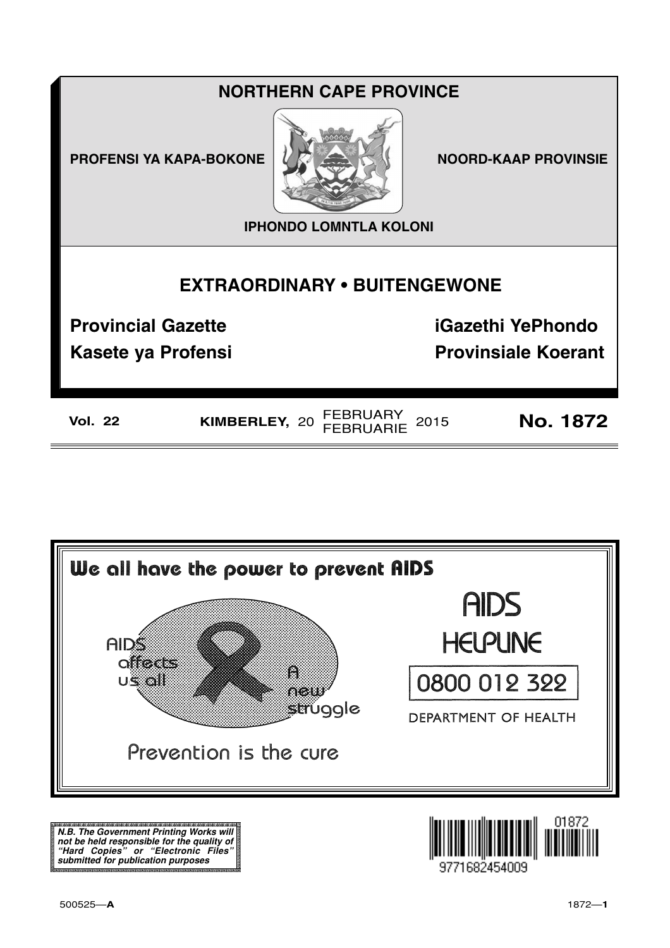## **NORTHERN CAPE PROVINCE**

**PROFENSI YA KAPA-BOKONE NOORD-KAAP PROVINSIE** 



**IPHONDO LOMNTLA KOLONI**

## **EXTRAORDINARY • BUITENGEWONE**

**Kasete ya Profensi Provinsiale Koerant** 

**Provincial Gazette iGazethi YePhondo**

**Vol. 22 KIMBERLEY,** <sup>20</sup>FEBRUARY FEBRUARIE <sup>2015</sup> **No. 1872**



**N.B. The Government Printing Works will not be held responsible for the quality of "Hard Copies" or "Electronic Files" submitted for publication purposes**

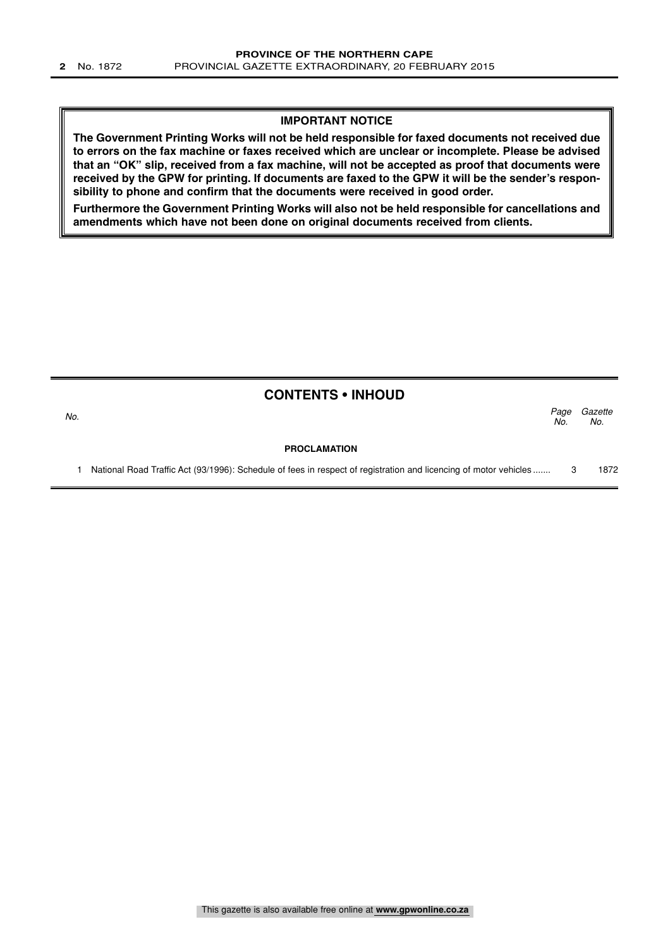#### **IMPORTANT NOTICE**

**The Government Printing Works will not be held responsible for faxed documents not received due to errors on the fax machine or faxes received which are unclear or incomplete. Please be advised that an "OK" slip, received from a fax machine, will not be accepted as proof that documents were received by the GPW for printing. If documents are faxed to the GPW it will be the sender's responsibility to phone and confirm that the documents were received in good order.**

**Furthermore the Government Printing Works will also not be held responsible for cancellations and amendments which have not been done on original documents received from clients.**

| <b>CONTENTS • INHOUD</b> |  |
|--------------------------|--|
|--------------------------|--|

| No. |                                                                                                                  | Page<br>No. | Gazette<br>No. |
|-----|------------------------------------------------------------------------------------------------------------------|-------------|----------------|
|     | <b>PROCLAMATION</b>                                                                                              |             |                |
|     | National Road Traffic Act (93/1996): Schedule of fees in respect of registration and licencing of motor vehicles |             | 1872           |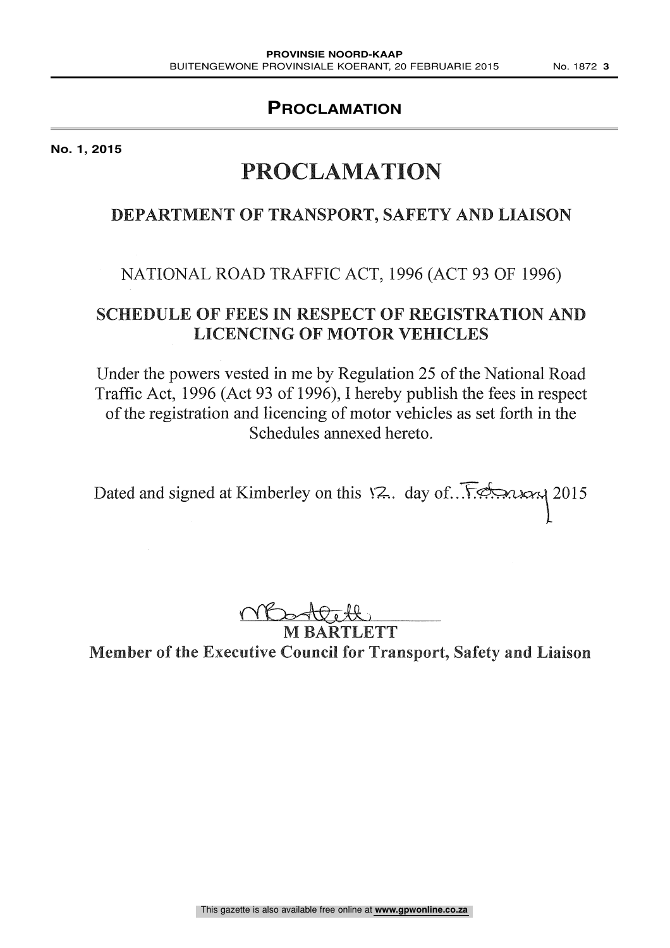#### **PROCLAMATION**

**No. 1, 2015**

# PROCLAMATION

### DEPARTMENT OF TRANSPORT, SAFETY AND LIAISON

#### NATIONAL ROAD TRAFFIC ACT, 1996 (ACT 93 OF 1996)

### SCHEDULE OF FEES IN RESPECT OF REGISTRATION AND LICENCING OF MOTOR VEHICLES

Under the powers vested in me by Regulation 25 of the National Road Traffic Act, 1996 (Act 93 of 1996), I hereby publish the fees in respect of the registration and licencing of motor vehicles as set forth in the Schedules annexed hereto.

Dated and signed at Kimberley on this V2.. day of... The many 2015

WBACCH Member of the Executive Council for Transport, Safety and Liaison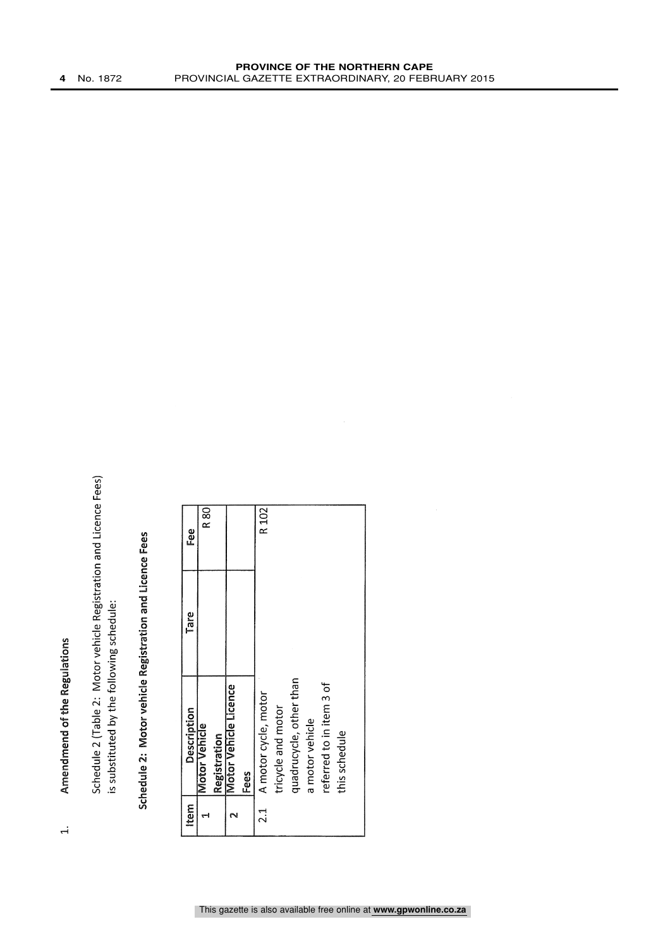|      | Schedule 2 (Table 2: Motor vehicle Registration and Licence Fees<br>is substituted by the following schedule: |      |          |  |
|------|---------------------------------------------------------------------------------------------------------------|------|----------|--|
|      | Schedule 2: Motor vehicle Registration and Licence Fees                                                       |      |          |  |
|      |                                                                                                               |      |          |  |
| ltem | Description                                                                                                   | Tare | eg<br>Le |  |
| إسع. | <b>Motor Vehicle</b>                                                                                          |      | R 80     |  |
|      | Registration                                                                                                  |      |          |  |
| N    | <b>Motor Vehicle Licence</b>                                                                                  |      |          |  |
|      | Fees                                                                                                          |      |          |  |
| 2.1  | A motor cycle, motor                                                                                          |      | R 102    |  |
|      | tricycle and motor                                                                                            |      |          |  |
|      | quadrucycle, other than                                                                                       |      |          |  |
|      | a motor vehicle                                                                                               |      |          |  |
|      | referred to in item 3 of                                                                                      |      |          |  |
|      | this schedule                                                                                                 |      |          |  |
|      |                                                                                                               |      |          |  |
|      |                                                                                                               |      |          |  |
|      |                                                                                                               |      |          |  |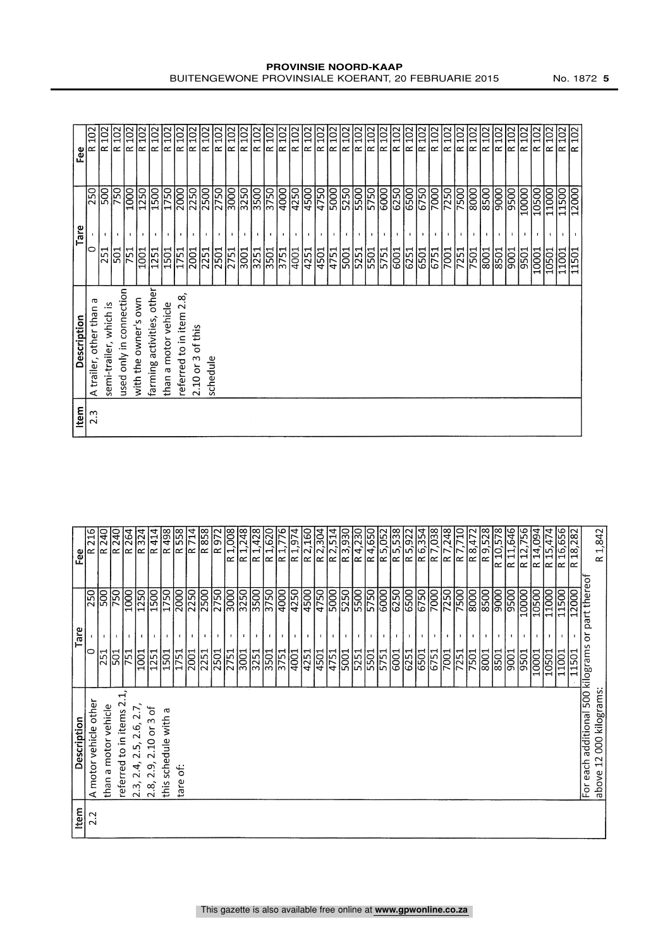| Description                          | Tare                                           |                      |                      |             |                                                      |                     |                     |                  |
|--------------------------------------|------------------------------------------------|----------------------|----------------------|-------------|------------------------------------------------------|---------------------|---------------------|------------------|
| A motor vehicle other                | 0                                              | $\overline{250}$     | $\frac{Fee}{R\ 216}$ | Item<br>2.3 | Description                                          | Tare<br>$\circ$     | 250                 | R 102<br>Fee     |
| than a motor vehicle                 | $\pmb{\cdot}$<br>251                           | န္တြ                 | R 240                |             | G<br>semi-trailer, which is<br>A trailer, other than | 251                 | 500                 | R <sub>102</sub> |
| referred to in items 2.1,            | 501                                            | 750                  | R 240                |             |                                                      | <b>501</b>          | 750                 | R <sub>102</sub> |
|                                      | $\overline{751}$                               | 1000                 | R 264                |             | used only in connection                              | $\overline{51}$     | $\frac{000}{1000}$  | R <sub>102</sub> |
| 2.3, 2.4, 2.5, 2.6, 2.7,             | 1001                                           | 1250<br>1500         | R 324                |             | with the owner's own                                 | 1001                | 1250                | R 102            |
| 2.8, 2.9, 2.10 or 3 of               | $\frac{1251}{251}$                             |                      | R 414                |             | farming activities, other                            | $\frac{1251}{25}$   | 500                 | R 102            |
| this schedule with a                 | $\overline{1501}$                              | 1750                 | R 498                |             | than a motor vehicle                                 | 1501                | 1750                | R <sub>102</sub> |
| tare of:                             | $\frac{1751}{2}$                               | 2000                 | R 558<br>R 714       |             | referred to in item 2.8,                             | $\frac{1751}{2}$    | $\frac{100}{2000}$  | R <sub>102</sub> |
|                                      | $\pmb{\scriptstyle{1}}$<br>$\frac{1001}{2001}$ | 2250                 |                      |             | 2.10 or 3 of this                                    | $\frac{1001}{2001}$ | $\frac{250}{250}$   | R 102            |
|                                      | 2551                                           | 2500                 | R 858                |             | schedule                                             | $\frac{25}{250}$    | $\frac{2500}{500}$  | R 102            |
|                                      |                                                | 2750                 | R 972                |             |                                                      |                     | 2750                | R 102            |
|                                      | 2751                                           | 3000                 | 1,008<br>∝           |             |                                                      |                     | $\frac{1}{2000}$    | R 102            |
|                                      | $\frac{1001}{200}$                             | 3250                 | 1,248<br>œ           |             |                                                      | $\overline{3001}$   | 3250                | $R$ 102          |
|                                      | $\frac{1}{3251}$                               | 3500                 | R 1,428              |             |                                                      | 3251                | $\frac{1500}{2500}$ | $R$ 102          |
|                                      | 3501<br>3751                                   | $\frac{3750}{ }$     | R 1,620              |             |                                                      | $\frac{3501}{3751}$ | $\frac{2750}{ }$    | R 102            |
|                                      |                                                | 4000                 | 1,776<br>$\propto$   |             |                                                      |                     | 4000                | R 102            |
|                                      | 4001                                           | 4250                 | R 1,974              |             |                                                      | 4001                | 4250                | R 102            |
|                                      | $\pmb{\cdot}$<br>4251                          | 4500                 | R 2,160              |             |                                                      | 4251                | 4500                | R <sub>102</sub> |
|                                      | 4501                                           | 4750<br>5000         | R 2,304              |             |                                                      | $\frac{4501}{ }$    | 4750                | R 102            |
|                                      | 4751                                           |                      | $R$ 2,514            |             |                                                      | 4751                | 5000                | R 102            |
|                                      | 5001                                           | 5250                 | R 3,930              |             |                                                      | $\overline{5001}$   | 5250                | R 102            |
|                                      | $\pmb{\mathfrak{t}}$<br>$\overline{52}$        | 5500                 | R4,230               |             |                                                      | $\overline{5251}$   | 5500                | R 102            |
|                                      | 5501<br>5751                                   | 5750                 | R 4,650              |             |                                                      | $\frac{5501}{5751}$ | 5750                | R 102            |
|                                      |                                                | 6000                 | R 5,052              |             |                                                      |                     | 6000                | R <sub>102</sub> |
|                                      | 6001                                           | 6250                 | R 5,538              |             |                                                      | $\overline{5001}$   | $\frac{50}{250}$    | R 102            |
|                                      | 6251                                           | 6500                 | R 5,922              |             |                                                      | 6251                | 6500                | R <sub>102</sub> |
|                                      | 6501                                           | 6750<br>7000         | R 6,354              |             |                                                      | $\frac{65}{651}$    | $\frac{6750}{ }$    | R 102            |
|                                      | $\overline{6751}$                              |                      | R 7,038              |             |                                                      |                     | 7000                | R <sub>102</sub> |
|                                      | 7001                                           | 7250                 | R 7,248              |             |                                                      | $\overline{7001}$   | $\frac{250}{250}$   | R 102            |
|                                      | 7251                                           | 7500                 | R 7,710              |             |                                                      | <b>7251</b>         | 7500                | R 102            |
|                                      | $\frac{1501}{ }$                               | 8000                 | R 8,472              |             |                                                      | $\frac{1}{2501}$    | 8000                | R 102            |
|                                      | 8001                                           | 8500                 | R 9,528<br>R 10,578  |             |                                                      | 8001                | 8500                | R 102            |
|                                      | 8501                                           | 0006                 |                      |             |                                                      | $\overline{501}$    | 9000                | R 102            |
|                                      | 9001                                           | 9500                 | R 11,646             |             |                                                      |                     | $\frac{60}{300}$    | R 102            |
|                                      | $\frac{501}{50}$                               | 10000                | R 12,756             |             |                                                      | <b>PSO1</b>         | 10000               | R 102            |
|                                      | 10001                                          | 10500                | R 14,094             |             |                                                      | 10001               | 10500               | R 102            |
|                                      | 10501                                          | 11000                | R 15,474             |             |                                                      | 10501               | 11000               | R <sub>102</sub> |
|                                      | 11001                                          | 11500                | R 16,656             |             |                                                      | 11001               | 11500               | $\frac{102}{R}$  |
|                                      | 11501                                          | $\frac{12000}{2000}$ | R 18,282             |             |                                                      | 11501               | $\frac{12000}{1}$   | 202              |
| For each additional 500 kilograms or |                                                | part thereof         |                      |             |                                                      |                     |                     |                  |
| above 12 000 kilograms:              |                                                |                      | 1,842<br>œ           |             |                                                      |                     |                     |                  |
|                                      |                                                |                      |                      |             |                                                      |                     |                     |                  |
|                                      |                                                |                      |                      |             |                                                      |                     |                     |                  |
|                                      |                                                |                      |                      |             |                                                      |                     |                     |                  |
|                                      |                                                |                      |                      |             |                                                      |                     |                     |                  |

| ltem | Description                              | are<br>⊢                     |                      | Fee                                          |
|------|------------------------------------------|------------------------------|----------------------|----------------------------------------------|
| 2.2  | A motor vehicle other                    | lo                           | 250                  | $\frac{5}{16}$<br>l∝                         |
|      | than a motor vehicle                     | ភ្ន<br>lN                    | 500                  | $\frac{5}{2}$<br>$\propto$                   |
|      | $\overline{d}$<br>referred to in items 2 | 501                          |                      | $\frac{5}{2}$<br>l≃                          |
|      | 2.3,                                     | $\overline{751}$             | 1000                 | $\frac{5}{34}$<br>$\propto$                  |
|      | 2.5, 2.6, 2.7<br>2.4,                    | $\overline{5}$               | $\frac{1250}{250}$   | iα                                           |
|      | 2.10 or 3 of<br>2.9,<br>2.8,             | 1251                         | 1500                 | $\frac{414}{4}$<br>I≃                        |
|      | œ<br>schedule with<br>this:              | 1501                         | 1750                 | $\frac{86}{4}$<br>عه! که!                    |
|      | Ë<br>tare                                | 1751                         | $\frac{1}{2000}$     | $\frac{5}{74}$                               |
|      |                                          | $\cdot$<br>$\overline{2001}$ | 2250                 | l≃                                           |
|      |                                          | 251                          | 2500                 | 358<br>l≃                                    |
|      |                                          | 2501                         | 2750                 | $\overline{572}$<br>$\propto$                |
|      |                                          | 2751                         | $rac{2000}{x}$       | $\overline{1,008}$<br>$\propto$              |
|      |                                          | 3001<br>3251                 | 3250<br>3500<br>3750 | 248<br>$\vdash$<br>Ιœ                        |
|      |                                          |                              |                      | $\overline{428}$<br>١H<br>Ιœ                 |
|      |                                          | 3501                         |                      | $\overline{50}$<br>$\mathbf{u}$<br>$\propto$ |
|      |                                          |                              | 4000                 | 776<br>$\vec{H}$<br>$\sim$                   |
|      |                                          | 4001                         | 4250                 | 1,974<br>$\propto$                           |
|      |                                          | 4251                         | 4500                 | 2,160<br>$\propto$                           |
|      |                                          | $\blacksquare$<br>4501       | 4750                 | $\frac{2}{304}$<br>l∝                        |
|      |                                          | 4751                         | 5000                 | $\frac{1}{4}$<br>$\propto$                   |
|      |                                          | 5001                         | $\overline{5250}$    | $\frac{3}{3}$<br>$\propto$                   |
|      |                                          | 5251<br>5501                 | 5500                 | l≃                                           |
|      |                                          |                              |                      | $\frac{4,230}{4,650}$<br>l≃                  |
|      |                                          | 5751                         | 6000                 | 5,052<br>l≃                                  |
|      |                                          | 6001                         | 6250                 | n 13<br> 3  3 <br> 5  3 <br>$\propto$        |
|      |                                          | 6251                         | 6500                 | $\propto$                                    |
|      |                                          | 6501                         | 6750                 | ه،<br>$\propto$                              |
|      |                                          | 6751                         | 7000                 | 7,038<br>œ                                   |
|      |                                          | $\cdot$<br>7001              | 7250                 | 7,248<br>Ιœ                                  |
|      |                                          | 7251                         | 7500                 | $\overline{71}$<br>$\mathcal{L}$<br>عە       |
|      |                                          | 7501                         | 8000                 | 8,472<br>$\propto$                           |
|      |                                          | $\mathbf{I}$<br>8001         | 8500                 | င္ကြ<br> တ<br>l≃                             |
|      |                                          | 8501                         | 8000                 | $\frac{18}{2}$<br>$\overline{5}$<br>≃        |
|      |                                          | 9001                         | 9500                 | 11,646<br>Ιœ                                 |
|      |                                          | 5501                         | 10000                | 756<br>12,<br>œ                              |
|      |                                          | 10001                        | 10500                | 14,094<br>l∝                                 |
|      |                                          | 10501                        | 11000                | $\overline{47}$<br>ļ5<br>عما                 |
|      |                                          | 11001                        | 11500                | $\frac{16,656}{18,282}$<br>ےءا               |
|      |                                          | 11501                        | 12000                | $\propto$                                    |
|      | additional<br>each<br>ă                  | ŏ<br>500 kilograms           | part thereof         |                                              |
|      | 000 kilograms:<br>12<br>above            |                              |                      | 1,842<br>$\propto$                           |

This gazette is also available free online at **www.gpwonline.co.za**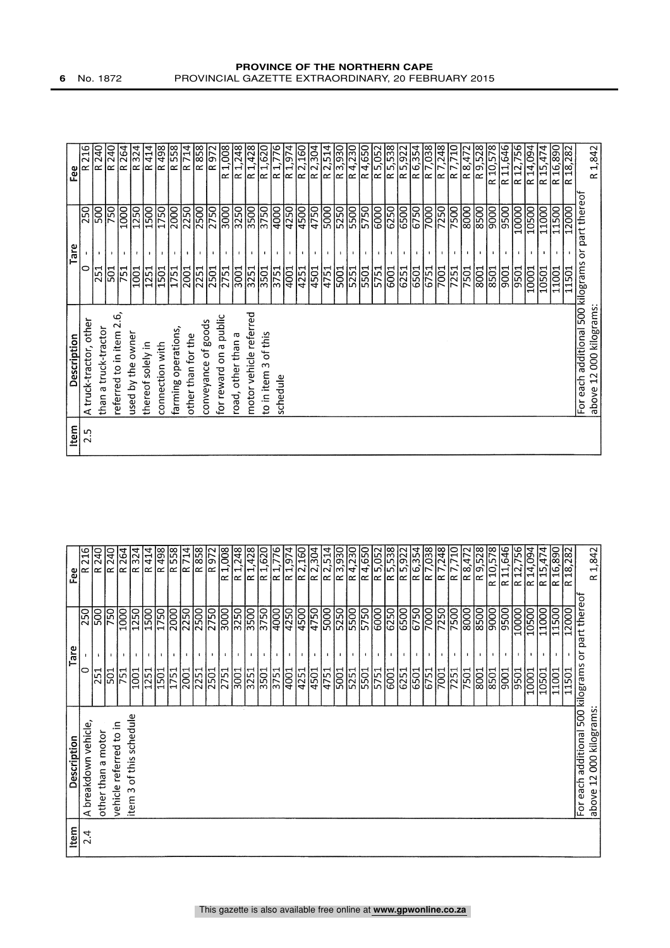| Description                                       | Tare                               |                   | Fee                 | Item | Description                                       | Tare                                                 | Fee                 |
|---------------------------------------------------|------------------------------------|-------------------|---------------------|------|---------------------------------------------------|------------------------------------------------------|---------------------|
| A breakdown vehicle,                              | $\circ$                            | $\overline{250}$  | R 216               | 2.5  | A truck-tractor, other                            | 250<br>٠<br>0                                        | R 216               |
| other than a motor                                | 4<br>$\overline{251}$              | 500               | R 240               |      | than a truck-tractor                              | 500<br>$\,$ 1<br>251                                 | R 240               |
| vehicle referred to in                            | 501                                | 750               | R 240               |      |                                                   | $\overline{50}$<br>٠<br>$\overline{501}$             | R 240               |
|                                                   | $\overline{51}$                    | $\frac{100}{100}$ | 264<br>œ            |      | referred to in item 2.6,                          | 1000<br>$\mathbf{I}$<br>$\frac{1}{251}$              | R 264               |
| item 3 of this schedule                           | 1001                               | 1250              | R 324               |      | used by the owner                                 | 1250<br>$\mathbf{r}$<br>1001                         | R324                |
|                                                   | $\mathbf{r}$<br>$\overline{1251}$  | 1500              | R414                |      | thereof solely in                                 | 1500<br>$\,$ $\,$<br>1251                            | R414                |
|                                                   | $\pmb{\mathfrak{t}}$<br>1501       | 1750              | R498                |      | connection with                                   | 1750<br>$\mathbf{I}$<br><b>ISO1</b>                  | R498                |
|                                                   | 1751                               | 2000              | R 558               |      | farming operations,                               | $\frac{2000}{2000}$<br>$\overline{1751}$             | R 558               |
|                                                   | 2001                               | 2250              | R714                |      | other than for the                                | 2250<br>$\mathbf{I}$<br>2001                         | $R$ 714             |
|                                                   | $\pmb{\mathfrak{r}}$<br>2251       | 2500              | R 858               |      |                                                   | 2500<br>$\blacksquare$<br>2251                       | R 858               |
|                                                   | $\,$ 1<br>2501                     | 2750              | 972<br>$\propto$    |      | conveyance of goods                               | 2750<br>$\overline{2501}$                            | R 972               |
|                                                   | 2751                               |                   | 1,008<br>œ          |      | for reward on a public                            | $\frac{1}{2000}$<br>$\mathbf{I}$<br>$\frac{1}{2751}$ | 1,008<br>œ          |
|                                                   | $\frac{1001}{200}$                 | 3000              | 1,248<br>œ          |      | road, other than a                                | 3250<br>$\mathbf{I}$<br>$\frac{5001}{2000}$          | R 1,248             |
|                                                   | $\pmb{\cdot}$<br>$\frac{3251}{51}$ | 3500              | R 1,428             |      | motor vehicle referred                            | 3500                                                 | R 1,428             |
|                                                   | 3501                               | 3750              | 1,620<br>Ιœ         |      | to in item 3 of this                              | 3750<br>$\frac{3251}{3501}$                          | R 1,620             |
|                                                   | $\frac{1}{3751}$                   | $\frac{1}{2}$     | 1,776<br>$\propto$  |      | schedule                                          | 4000<br>$\mathbf{I}$<br>3751                         | R <sub>1,776</sub>  |
|                                                   | $\mathbf I$<br>4001                | 4250              | R <sub>1,974</sub>  |      |                                                   | 4250<br>$\mathbf{I}$<br>$\sqrt{4001}$                | R 1,974             |
|                                                   | $\pmb{\ast}$<br>4251               | 4500              | R 2,160             |      |                                                   | 4500<br>$\blacksquare$<br>4251                       | R 2,160             |
|                                                   | 4501                               | $\frac{65}{4750}$ | R2,304              |      |                                                   | 4750<br>$\mathbf{I}$<br>$\frac{4501}{4501}$          | $R$ 2,304           |
|                                                   | 4751                               | 5000              | R 2,514             |      |                                                   | 5000<br>$\mathbf{1}$<br>4751                         | R 2,514             |
|                                                   | $\blacksquare$<br>5001             | 5250              | 3,930<br>Ιœ         |      |                                                   | 5250<br>$\mathbf{1}$<br>5001                         | R3,93C              |
|                                                   | $\mathbf I$<br>5251                | 5500              | R4,230              |      |                                                   | 5500<br>$\blacksquare$<br>5251                       | $R\,4,230$          |
|                                                   | 5501                               | 5750              | R4,650              |      |                                                   | 5750<br>5501                                         | R 4,650             |
|                                                   | $\overline{5751}$                  | $\frac{1}{6000}$  | R 5,052             |      |                                                   | 6000<br>$\mathbf{I}$<br>5751                         | R 5,052             |
|                                                   | <b>6001</b>                        | 6250              | R 5,538             |      |                                                   | 6250<br>$\overline{6001}$                            | R 5,538             |
|                                                   | 6251                               | 6500              | R 5,922             |      |                                                   | 550<br>$\blacksquare$<br>6251                        | R 5,922             |
|                                                   | 6501<br>6751                       | 6750              | R 6,354             |      |                                                   | 6750<br>$\overline{6501}$                            | R 6,354             |
|                                                   |                                    | $\frac{1}{2000}$  | R 7,038             |      |                                                   | 7000<br>6751                                         | R 7,038             |
|                                                   | 7001                               | 7250              | R 7,248             |      |                                                   | 7250<br>$\mathbf{I}$<br>7001                         | R 7,248             |
|                                                   | $\pmb{\cdot}$<br>7251              | 7500              | R 7,710             |      |                                                   | 7500<br>$\mathbf{I}$<br>7251                         | R 7,710             |
|                                                   | 7501                               | 8000              | R 8,472             |      |                                                   | $\frac{800}{80}$<br>$\overline{7501}$                | R 8,472             |
|                                                   | 8001                               | 8500              | R 9,528             |      |                                                   | 8500<br>8001                                         | R9,528              |
|                                                   | 8501                               | $\overline{9000}$ | R <sub>10,578</sub> |      |                                                   | 9000<br>503                                          | R <sub>10,578</sub> |
|                                                   | $\frac{9001}{2}$                   | 9500              | R11,646             |      |                                                   | 9500<br>$\overline{5001}$                            | R 11,646            |
|                                                   | $\frac{501}{501}$                  | 10000             | R 12,756            |      |                                                   | 10000<br>$\frac{9501}{ }$                            | R <sub>12,756</sub> |
|                                                   | 10001                              | 10500             | R 14,094            |      |                                                   | 10500<br>10001                                       | R 14,094            |
|                                                   | 10501                              | 11000             | R 15,474            |      |                                                   | 11000<br>10501                                       | R 15,474            |
|                                                   | 11001                              | 11500             | 16,890<br>۱∝        |      |                                                   | 11500<br>11001                                       | R 16,890            |
|                                                   | 11501                              | 12000             | 18,282<br>Ιœ        |      |                                                   | 12000<br>11501                                       | 18,282<br>l∝        |
| For each additional 500 kilograms or part thereof |                                    |                   |                     |      | For each additional 500 kilograms or part thereof |                                                      |                     |
| above 12 000 kilograms:                           |                                    |                   | R1,842              |      | above 12 000 kilograms:                           |                                                      | 1,842<br>œ          |
|                                                   |                                    |                   |                     |      |                                                   |                                                      |                     |
|                                                   |                                    |                   |                     |      |                                                   |                                                      |                     |
|                                                   |                                    |                   |                     |      |                                                   |                                                      |                     |
|                                                   |                                    |                   |                     |      |                                                   |                                                      |                     |

| Item | Description                                                                 | Tare                                         | Fee                                       |
|------|-----------------------------------------------------------------------------|----------------------------------------------|-------------------------------------------|
| 2.4  | A breakdown vehicle,                                                        | $\overline{250}$<br>$\circ$                  | $\overline{216}$<br>$\propto$             |
|      | other than a motor                                                          | 500<br>251                                   | R 240                                     |
|      | vehicle referred to in                                                      | $\frac{501}{751}$                            | R 240                                     |
|      |                                                                             | $\frac{100}{2}$                              | $\frac{264}{ }$<br>$\propto$              |
|      | of this schedule<br>item <sub>3</sub>                                       | 1250<br>1001                                 | $\overline{324}$<br>$\alpha'$             |
|      |                                                                             | 1500<br>1251                                 | R 414                                     |
|      |                                                                             | 1750<br>1501                                 | R498                                      |
|      |                                                                             | 2000<br>2250<br>1751                         | R 558                                     |
|      |                                                                             | 2001                                         | 714<br>$\simeq$                           |
|      |                                                                             | 2251                                         | 858<br>$ \alpha $                         |
|      |                                                                             |                                              | $\sqrt{972}$                              |
|      |                                                                             | 2751                                         | $\frac{1,008}{$<br>Ιœ                     |
|      |                                                                             | 2500<br>2750<br>3000<br>3550<br>3550<br>3001 | $\frac{8}{248}$<br>'ب<br>œ                |
|      |                                                                             |                                              | $\frac{8}{428}$<br>$\vec{r}$<br>$\propto$ |
|      |                                                                             | 3750<br>3501                                 | 1,620<br>œ                                |
|      |                                                                             | 1000<br>3751                                 | $\frac{1}{776}$<br>$\vec{r}$<br>ا∝        |
|      |                                                                             | $\frac{1}{4250}$<br>4001                     | 974<br>$\rightarrow$<br>l≃                |
|      |                                                                             | 4500<br>4251                                 | 2,160<br>l≃                               |
|      |                                                                             | $\frac{1750}{ }$<br>4501                     | 2,304<br>ءا                               |
|      |                                                                             | 4751                                         | 2,514<br>$\propto$                        |
|      |                                                                             | $\mathbf{r}$<br>5001                         | œ                                         |
|      |                                                                             | 5251                                         | R4,230                                    |
|      |                                                                             | 5501<br>5751                                 | $\frac{4,650}{ }$<br>$\simeq$             |
|      |                                                                             | 8000                                         | 5,052<br>I≃                               |
|      |                                                                             | 6250<br>6001                                 | I∝                                        |
|      |                                                                             | 6500<br>6251                                 | $\frac{5,538}{5,922}$<br>$\simeq$         |
|      |                                                                             | $\overline{6750}$<br>6501                    | 6,354<br>I≃                               |
|      |                                                                             | $\frac{000}{\sqrt{200}}$<br>6751             | 7,038<br>$ \alpha $                       |
|      |                                                                             | 7250<br>$\frac{1}{2}$                        | $\propto$                                 |
|      |                                                                             | $\frac{1500}{2500}$<br>$\frac{7251}{7501}$   | 7,710<br>$\propto$                        |
|      |                                                                             | 8000                                         | R 8,472                                   |
|      |                                                                             | 8500<br>8001                                 | R 9,528                                   |
|      |                                                                             | 9000<br>8501                                 | 10,578<br>œ                               |
|      |                                                                             | 9500<br>$\frac{1000}{200}$                   | 11,646<br>Ιœ                              |
|      |                                                                             | 10000<br>5501                                | 12,756<br>اعد                             |
|      |                                                                             | 10500<br>10001                               | 14,094<br>l∝                              |
|      |                                                                             | 11000<br>10501                               | 474<br>ļĘ,<br>$\propto$                   |
|      |                                                                             | 11500<br>11001                               | 16,890<br>l∝                              |
|      |                                                                             | 12000<br>11501                               | $\frac{282}{2}$<br>18,<br>lα              |
|      | 000 kilograms:<br>500<br>additional<br>$\overline{12}$<br>For each<br>above | part thereof<br>ð<br>kilograms               | 1,842<br>$\sim$                           |
|      |                                                                             |                                              |                                           |
|      |                                                                             |                                              |                                           |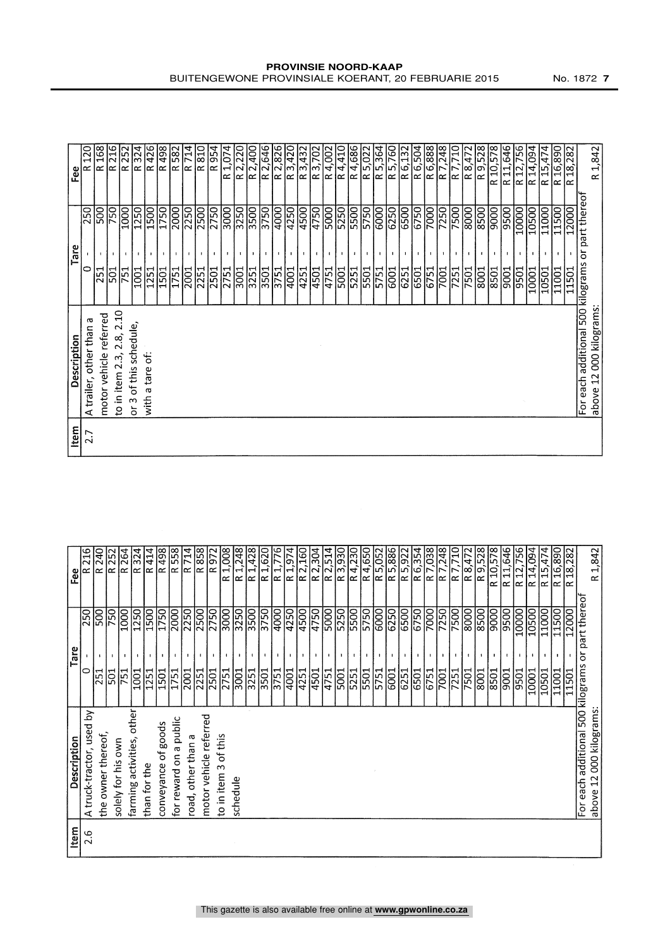|                            | <b>Pec</b>               |                        |                           |                 |                              |                  |                     |                        |                    |       |                        | $\approx$            | $\approx$          | R <sup>2</sup>                           | I≈                  | Ιç                 | ຶ້                 | ⊯                  | ∣∞               | $\overline{R}$                               | R⊻                  | $\approx$ $\approx$ $\approx$ |                  |                          | ∣≍່               | آ∝                | ∣∝               | $\frac{e}{\alpha}$    | $\overline{\mathbf{z}}$ | ∣∝                    | I∝                   | $\alpha$                        | $R_{10}$             | $\overline{11}$    | $\frac{12}{2}$                | $\frac{1}{4}$ | $R_{15}$    | $\frac{15}{2}$      | $\frac{18}{2}$  |                                                   | $\approx$               |
|----------------------------|--------------------------|------------------------|---------------------------|-----------------|------------------------------|------------------|---------------------|------------------------|--------------------|-------|------------------------|----------------------|--------------------|------------------------------------------|---------------------|--------------------|--------------------|--------------------|------------------|----------------------------------------------|---------------------|-------------------------------|------------------|--------------------------|-------------------|-------------------|------------------|-----------------------|-------------------------|-----------------------|----------------------|---------------------------------|----------------------|--------------------|-------------------------------|---------------|-------------|---------------------|-----------------|---------------------------------------------------|-------------------------|
|                            | 250                      | $\overline{500}$       | 750                       | 1000            | 1250                         | 500              | 1750                | 2000                   | 2250               | 2500  | 2750                   | 3000                 | 3250               |                                          | 3500                | 4000               | 4250               | 4500               | 4750             | 5000                                         | 5250                | 5500                          |                  | 6000                     | 5250              | 550               | $\frac{6750}{ }$ | 7000                  | 7250                    | 7500                  | $\frac{8000}{20000}$ | 8500                            | 0006                 | $\frac{9500}{ }$   | 10000                         | 10500         | 11000       | 11500<br>12000      |                 |                                                   |                         |
| Tare                       | 0                        | 251                    | 501                       | $\overline{51}$ | $\overline{1001}$            | 1251             | $\frac{1501}{2501}$ | 1751                   | <b>2001</b>        | 2251  | <b>2501</b><br>2751    |                      | 3001               |                                          | $\frac{3251}{3501}$ | $\frac{1}{3751}$   | 4001               | $\frac{4251}{251}$ | $\frac{1501}{2}$ | 4751                                         | 5001                | 5251                          | 5501             | 5751                     | $\overline{5001}$ | $\overline{6251}$ | 6501             | $\overline{55}$       | $\overline{7001}$       | 7251                  | 7501                 | 8001                            | 8501                 | $\overline{9001}$  | 501                           | 10001         | 10501       | 11001               | 11501           |                                                   |                         |
| Description                | A trailer, other than a  | motor vehicle referred | to in item 2.3, 2.8, 2.10 |                 | or 3 of this schedule,       | with a tare of:  |                     |                        |                    |       |                        |                      |                    |                                          |                     |                    |                    |                    |                  |                                              |                     |                               |                  |                          |                   |                   |                  |                       |                         |                       |                      |                                 |                      |                    |                               |               |             |                     |                 | For each additional 500 kilograms or part thereof | above 12 000 kilograms: |
| Item                       | 2.7                      |                        |                           |                 |                              |                  |                     |                        |                    |       |                        |                      |                    |                                          |                     |                    |                    |                    |                  |                                              |                     |                               |                  |                          |                   |                   |                  |                       |                         |                       |                      |                                 |                      |                    |                               |               |             |                     |                 |                                                   |                         |
|                            |                          |                        |                           |                 |                              |                  |                     |                        |                    |       |                        |                      |                    |                                          |                     |                    |                    |                    |                  |                                              |                     |                               |                  |                          |                   |                   |                  |                       |                         |                       |                      |                                 |                      |                    |                               |               |             |                     |                 |                                                   |                         |
| Fee                        | R 216                    | R 240                  | R 252<br>R 264            |                 | $\frac{324}{ }$<br>$\propto$ | $R$ 414          | R498                | R 558                  | R 714              | R 858 | R 972                  | 1,008<br>œ           | 1,248<br>$\approx$ | 1,428<br>∣∝                              | 1,620<br>∣∝         | R <sub>1,776</sub> | R <sub>1,974</sub> | R 2,160            | 2,304<br>⊾ءا     | R 2,514                                      | 3,930<br>l∝         | R 4, 230<br>R 4, 650          |                  | R 5,052                  | R 5,886           | 5,922<br>l≃       | R 6,354          | R 7,038               | R 7,248                 | R7,710                | R 8,472              | R9,528                          | R <sub>10,578</sub>  | R 11,646           | R 12,756                      | R 14,094      | 15,474<br>œ | 16,890<br>$\propto$ | R 18,282        |                                                   | 1,842<br>œ              |
|                            | 250                      | 500                    | 750<br>1000               |                 | 1250                         | 1500             | 1750                | 2000                   | 2250               | 2500  | 2750                   |                      | $\frac{3250}{ }$   | 3500                                     | 3750                | 4000               | 4250               | 4500               | 4750             | 2009                                         | 5250                | 5500                          | 5750             | $\overline{600}$         | $\frac{50}{250}$  | 6500              | 6750             | $\overline{000}$      | 7250                    | 7500                  | $\overline{3000}$    | 8500                            | $\frac{1}{2000}$     | 9500               | 10000                         | 10500         | 11000       | 11500               | 12000           |                                                   |                         |
| Tare                       | 0                        | က<br> ၁                | ြိ                        | $\sqrt{5}$      | $\overline{100}$             | $\overline{125}$ | 150                 | $\frac{175}{2}$        | $\frac{8}{200}$    | 225   | <b>P50</b>             | 275                  | $\frac{1}{300}$    | $\mathbf{\mathbf{t}}$<br>$\frac{1}{325}$ | $\frac{350}{375}$   | ⊢                  | 宝<br>400           | ⊣<br>425           | $\sqrt{450}$     | $\overline{\phantom{0}}$<br>$\overline{475}$ | $\mathbf{E}$<br>500 | $\frac{55}{55}$               | $\frac{50}{575}$ | $\overline{\phantom{a}}$ | 600               | $\frac{65}{60}$   |                  | H<br>$\overline{675}$ | $\frac{1}{20}$          | −∣<br>$\frac{25}{25}$ | $\frac{50}{25}$      | $\overline{\phantom{a}}$<br>800 | $\mathbf{I}$<br>8501 | −<br>$\frac{8}{3}$ | $\overline{\mathbb{L}}$<br>50 | 10001         | 1050        | Ţ<br>1100           | $\frac{150}{1}$ |                                                   |                         |
| Description<br><b>Item</b> | A truck-tractor, used by | the owner thereof,     | solely for his own        |                 | farming activities, other    | than for the     | conveyance of goods | for reward on a public | road, other than a |       | motor vehicle referred | to in item 3 of this | schedule           |                                          |                     |                    |                    |                    |                  |                                              |                     |                               |                  |                          |                   |                   |                  |                       |                         |                       |                      |                                 |                      |                    |                               |               |             |                     |                 | For each additional 500 kilograms or part thereof | above 12 000 kilograms: |

| 1,842<br>$\overline{216}$<br>2,646<br>2,826<br>9,528<br>10,578<br>11,646<br>$\overline{714}$<br>3,420<br>5,364<br>6,504<br>7,248<br>56<br>14,094<br>252<br>5,760<br>$\frac{28}{2}$<br>8,472<br>432<br>4,002<br>5,022<br>3,702<br>12,<br>$\vec{\mathsf{a}}$<br>$\sim$<br>¦≌<br>$\overline{\mathsf{N}}$<br>lα<br>Ιœ<br>$\propto$<br>$\propto$<br>œ<br>Ιœ<br>$\propto$<br>I≃<br>$\propto$<br>$\propto$<br>lα<br>$\propto$<br>œ<br>$\propto$<br>lα<br>lα<br>$\propto$<br>lα<br>$\propto$<br>$\propto$<br>l∝<br>œ<br>œ<br>œ<br>$\propto$<br>œ<br>$\propto$<br>$\propto$<br>Ιœ<br>∝<br>œ<br>≃<br>$\propto$<br>œ<br>lα<br>$\sim$<br>$\propto$<br>Ιœ<br>l≃<br>lα<br>part thereof<br>5750<br>500<br>1000<br>1250<br>1750<br>3000<br>4500<br>5000<br>6500<br>7000<br>12000<br>250<br>$\frac{1500}{2500}$<br>2000<br>2250<br>2500<br>3500<br>$\frac{1000}{2}$<br>4250<br>5500<br>8000<br>$\overline{6250}$<br>$\frac{6750}{ }$<br>7250<br>8000<br>8500<br>8000<br>550<br>11000<br>11500<br><b>DEC</b><br>$\frac{6}{4750}$<br>7500<br>10000<br>10500<br>ŏ<br>$\mathbf{I}$<br>$\mathbf{I}$<br>$\mathbf{r}$<br>$\mathbf{L}$<br>$\mathbf{I}$<br>$\mathbf{I}$<br>$\cdot$<br>$\mathbf{1}$<br>$\cdot$<br>$\mathbf{1}$<br>kilograms<br>8501<br>0<br>6501<br>5001<br>9501<br>$\frac{10001}{10001}$<br>10501<br>11001<br>$\overline{\Xi}$<br>2751<br>$\frac{1}{2001}$<br>$\frac{3251}{3501}$<br>4001<br>$\frac{4501}{4751}$<br>5251<br>5501<br>5751<br>$\overline{6001}$<br>6251<br>7001<br>7251<br>7501<br>8001<br>11501<br>251<br>$\frac{501}{751}$<br>1251<br>1501<br>$\frac{1751}{1751}$<br>251<br>$\overline{2501}$<br>4251<br>5001<br>1001<br>kilograms<br>$\overline{500}$<br>$\overline{a}$<br>motor vehicle referred<br>ᡣᠣ<br>schedule,<br>$\overline{\mathbf{r}}$<br>trailer, other than<br>additional<br>2.8,<br>to in item 2.3,<br>ŧ<br>80<br>of this<br>tare<br>12<br>For each<br>with a<br>above<br>or 3<br>∢<br>2.7 | Item | Description | $\overline{\text{Tare}}$ | Fee              |
|---------------------------------------------------------------------------------------------------------------------------------------------------------------------------------------------------------------------------------------------------------------------------------------------------------------------------------------------------------------------------------------------------------------------------------------------------------------------------------------------------------------------------------------------------------------------------------------------------------------------------------------------------------------------------------------------------------------------------------------------------------------------------------------------------------------------------------------------------------------------------------------------------------------------------------------------------------------------------------------------------------------------------------------------------------------------------------------------------------------------------------------------------------------------------------------------------------------------------------------------------------------------------------------------------------------------------------------------------------------------------------------------------------------------------------------------------------------------------------------------------------------------------------------------------------------------------------------------------------------------------------------------------------------------------------------------------------------------------------------------------------------------------------------------------------------------------------------------------------------------------------------------------------------|------|-------------|--------------------------|------------------|
|                                                                                                                                                                                                                                                                                                                                                                                                                                                                                                                                                                                                                                                                                                                                                                                                                                                                                                                                                                                                                                                                                                                                                                                                                                                                                                                                                                                                                                                                                                                                                                                                                                                                                                                                                                                                                                                                                                               |      |             |                          | $\overline{120}$ |
|                                                                                                                                                                                                                                                                                                                                                                                                                                                                                                                                                                                                                                                                                                                                                                                                                                                                                                                                                                                                                                                                                                                                                                                                                                                                                                                                                                                                                                                                                                                                                                                                                                                                                                                                                                                                                                                                                                               |      |             |                          | 168              |
|                                                                                                                                                                                                                                                                                                                                                                                                                                                                                                                                                                                                                                                                                                                                                                                                                                                                                                                                                                                                                                                                                                                                                                                                                                                                                                                                                                                                                                                                                                                                                                                                                                                                                                                                                                                                                                                                                                               |      |             |                          |                  |
|                                                                                                                                                                                                                                                                                                                                                                                                                                                                                                                                                                                                                                                                                                                                                                                                                                                                                                                                                                                                                                                                                                                                                                                                                                                                                                                                                                                                                                                                                                                                                                                                                                                                                                                                                                                                                                                                                                               |      |             |                          |                  |
|                                                                                                                                                                                                                                                                                                                                                                                                                                                                                                                                                                                                                                                                                                                                                                                                                                                                                                                                                                                                                                                                                                                                                                                                                                                                                                                                                                                                                                                                                                                                                                                                                                                                                                                                                                                                                                                                                                               |      |             |                          | $\frac{324}{ }$  |
|                                                                                                                                                                                                                                                                                                                                                                                                                                                                                                                                                                                                                                                                                                                                                                                                                                                                                                                                                                                                                                                                                                                                                                                                                                                                                                                                                                                                                                                                                                                                                                                                                                                                                                                                                                                                                                                                                                               |      |             |                          | $\frac{426}{ }$  |
|                                                                                                                                                                                                                                                                                                                                                                                                                                                                                                                                                                                                                                                                                                                                                                                                                                                                                                                                                                                                                                                                                                                                                                                                                                                                                                                                                                                                                                                                                                                                                                                                                                                                                                                                                                                                                                                                                                               |      |             |                          | $\frac{8}{498}$  |
|                                                                                                                                                                                                                                                                                                                                                                                                                                                                                                                                                                                                                                                                                                                                                                                                                                                                                                                                                                                                                                                                                                                                                                                                                                                                                                                                                                                                                                                                                                                                                                                                                                                                                                                                                                                                                                                                                                               |      |             |                          | $\frac{582}{5}$  |
|                                                                                                                                                                                                                                                                                                                                                                                                                                                                                                                                                                                                                                                                                                                                                                                                                                                                                                                                                                                                                                                                                                                                                                                                                                                                                                                                                                                                                                                                                                                                                                                                                                                                                                                                                                                                                                                                                                               |      |             |                          |                  |
|                                                                                                                                                                                                                                                                                                                                                                                                                                                                                                                                                                                                                                                                                                                                                                                                                                                                                                                                                                                                                                                                                                                                                                                                                                                                                                                                                                                                                                                                                                                                                                                                                                                                                                                                                                                                                                                                                                               |      |             |                          | $\frac{010}{2}$  |
|                                                                                                                                                                                                                                                                                                                                                                                                                                                                                                                                                                                                                                                                                                                                                                                                                                                                                                                                                                                                                                                                                                                                                                                                                                                                                                                                                                                                                                                                                                                                                                                                                                                                                                                                                                                                                                                                                                               |      |             |                          | $\frac{54}{3}$   |
|                                                                                                                                                                                                                                                                                                                                                                                                                                                                                                                                                                                                                                                                                                                                                                                                                                                                                                                                                                                                                                                                                                                                                                                                                                                                                                                                                                                                                                                                                                                                                                                                                                                                                                                                                                                                                                                                                                               |      |             |                          | 1,074            |
|                                                                                                                                                                                                                                                                                                                                                                                                                                                                                                                                                                                                                                                                                                                                                                                                                                                                                                                                                                                                                                                                                                                                                                                                                                                                                                                                                                                                                                                                                                                                                                                                                                                                                                                                                                                                                                                                                                               |      |             |                          | $\overline{20}$  |
|                                                                                                                                                                                                                                                                                                                                                                                                                                                                                                                                                                                                                                                                                                                                                                                                                                                                                                                                                                                                                                                                                                                                                                                                                                                                                                                                                                                                                                                                                                                                                                                                                                                                                                                                                                                                                                                                                                               |      |             |                          | $\overline{400}$ |
|                                                                                                                                                                                                                                                                                                                                                                                                                                                                                                                                                                                                                                                                                                                                                                                                                                                                                                                                                                                                                                                                                                                                                                                                                                                                                                                                                                                                                                                                                                                                                                                                                                                                                                                                                                                                                                                                                                               |      |             |                          |                  |
|                                                                                                                                                                                                                                                                                                                                                                                                                                                                                                                                                                                                                                                                                                                                                                                                                                                                                                                                                                                                                                                                                                                                                                                                                                                                                                                                                                                                                                                                                                                                                                                                                                                                                                                                                                                                                                                                                                               |      |             |                          |                  |
|                                                                                                                                                                                                                                                                                                                                                                                                                                                                                                                                                                                                                                                                                                                                                                                                                                                                                                                                                                                                                                                                                                                                                                                                                                                                                                                                                                                                                                                                                                                                                                                                                                                                                                                                                                                                                                                                                                               |      |             |                          |                  |
|                                                                                                                                                                                                                                                                                                                                                                                                                                                                                                                                                                                                                                                                                                                                                                                                                                                                                                                                                                                                                                                                                                                                                                                                                                                                                                                                                                                                                                                                                                                                                                                                                                                                                                                                                                                                                                                                                                               |      |             |                          |                  |
|                                                                                                                                                                                                                                                                                                                                                                                                                                                                                                                                                                                                                                                                                                                                                                                                                                                                                                                                                                                                                                                                                                                                                                                                                                                                                                                                                                                                                                                                                                                                                                                                                                                                                                                                                                                                                                                                                                               |      |             |                          |                  |
|                                                                                                                                                                                                                                                                                                                                                                                                                                                                                                                                                                                                                                                                                                                                                                                                                                                                                                                                                                                                                                                                                                                                                                                                                                                                                                                                                                                                                                                                                                                                                                                                                                                                                                                                                                                                                                                                                                               |      |             |                          |                  |
|                                                                                                                                                                                                                                                                                                                                                                                                                                                                                                                                                                                                                                                                                                                                                                                                                                                                                                                                                                                                                                                                                                                                                                                                                                                                                                                                                                                                                                                                                                                                                                                                                                                                                                                                                                                                                                                                                                               |      |             |                          | 4,410            |
|                                                                                                                                                                                                                                                                                                                                                                                                                                                                                                                                                                                                                                                                                                                                                                                                                                                                                                                                                                                                                                                                                                                                                                                                                                                                                                                                                                                                                                                                                                                                                                                                                                                                                                                                                                                                                                                                                                               |      |             |                          | 4,686            |
|                                                                                                                                                                                                                                                                                                                                                                                                                                                                                                                                                                                                                                                                                                                                                                                                                                                                                                                                                                                                                                                                                                                                                                                                                                                                                                                                                                                                                                                                                                                                                                                                                                                                                                                                                                                                                                                                                                               |      |             |                          |                  |
|                                                                                                                                                                                                                                                                                                                                                                                                                                                                                                                                                                                                                                                                                                                                                                                                                                                                                                                                                                                                                                                                                                                                                                                                                                                                                                                                                                                                                                                                                                                                                                                                                                                                                                                                                                                                                                                                                                               |      |             |                          |                  |
|                                                                                                                                                                                                                                                                                                                                                                                                                                                                                                                                                                                                                                                                                                                                                                                                                                                                                                                                                                                                                                                                                                                                                                                                                                                                                                                                                                                                                                                                                                                                                                                                                                                                                                                                                                                                                                                                                                               |      |             |                          |                  |
|                                                                                                                                                                                                                                                                                                                                                                                                                                                                                                                                                                                                                                                                                                                                                                                                                                                                                                                                                                                                                                                                                                                                                                                                                                                                                                                                                                                                                                                                                                                                                                                                                                                                                                                                                                                                                                                                                                               |      |             |                          | 6,132            |
|                                                                                                                                                                                                                                                                                                                                                                                                                                                                                                                                                                                                                                                                                                                                                                                                                                                                                                                                                                                                                                                                                                                                                                                                                                                                                                                                                                                                                                                                                                                                                                                                                                                                                                                                                                                                                                                                                                               |      |             |                          |                  |
|                                                                                                                                                                                                                                                                                                                                                                                                                                                                                                                                                                                                                                                                                                                                                                                                                                                                                                                                                                                                                                                                                                                                                                                                                                                                                                                                                                                                                                                                                                                                                                                                                                                                                                                                                                                                                                                                                                               |      |             |                          | 6,888            |
|                                                                                                                                                                                                                                                                                                                                                                                                                                                                                                                                                                                                                                                                                                                                                                                                                                                                                                                                                                                                                                                                                                                                                                                                                                                                                                                                                                                                                                                                                                                                                                                                                                                                                                                                                                                                                                                                                                               |      |             |                          |                  |
|                                                                                                                                                                                                                                                                                                                                                                                                                                                                                                                                                                                                                                                                                                                                                                                                                                                                                                                                                                                                                                                                                                                                                                                                                                                                                                                                                                                                                                                                                                                                                                                                                                                                                                                                                                                                                                                                                                               |      |             |                          | 7,710            |
|                                                                                                                                                                                                                                                                                                                                                                                                                                                                                                                                                                                                                                                                                                                                                                                                                                                                                                                                                                                                                                                                                                                                                                                                                                                                                                                                                                                                                                                                                                                                                                                                                                                                                                                                                                                                                                                                                                               |      |             |                          |                  |
|                                                                                                                                                                                                                                                                                                                                                                                                                                                                                                                                                                                                                                                                                                                                                                                                                                                                                                                                                                                                                                                                                                                                                                                                                                                                                                                                                                                                                                                                                                                                                                                                                                                                                                                                                                                                                                                                                                               |      |             |                          |                  |
|                                                                                                                                                                                                                                                                                                                                                                                                                                                                                                                                                                                                                                                                                                                                                                                                                                                                                                                                                                                                                                                                                                                                                                                                                                                                                                                                                                                                                                                                                                                                                                                                                                                                                                                                                                                                                                                                                                               |      |             |                          |                  |
|                                                                                                                                                                                                                                                                                                                                                                                                                                                                                                                                                                                                                                                                                                                                                                                                                                                                                                                                                                                                                                                                                                                                                                                                                                                                                                                                                                                                                                                                                                                                                                                                                                                                                                                                                                                                                                                                                                               |      |             |                          |                  |
|                                                                                                                                                                                                                                                                                                                                                                                                                                                                                                                                                                                                                                                                                                                                                                                                                                                                                                                                                                                                                                                                                                                                                                                                                                                                                                                                                                                                                                                                                                                                                                                                                                                                                                                                                                                                                                                                                                               |      |             |                          |                  |
|                                                                                                                                                                                                                                                                                                                                                                                                                                                                                                                                                                                                                                                                                                                                                                                                                                                                                                                                                                                                                                                                                                                                                                                                                                                                                                                                                                                                                                                                                                                                                                                                                                                                                                                                                                                                                                                                                                               |      |             |                          |                  |
|                                                                                                                                                                                                                                                                                                                                                                                                                                                                                                                                                                                                                                                                                                                                                                                                                                                                                                                                                                                                                                                                                                                                                                                                                                                                                                                                                                                                                                                                                                                                                                                                                                                                                                                                                                                                                                                                                                               |      |             |                          | 15,474           |
|                                                                                                                                                                                                                                                                                                                                                                                                                                                                                                                                                                                                                                                                                                                                                                                                                                                                                                                                                                                                                                                                                                                                                                                                                                                                                                                                                                                                                                                                                                                                                                                                                                                                                                                                                                                                                                                                                                               |      |             |                          | 16,890           |
|                                                                                                                                                                                                                                                                                                                                                                                                                                                                                                                                                                                                                                                                                                                                                                                                                                                                                                                                                                                                                                                                                                                                                                                                                                                                                                                                                                                                                                                                                                                                                                                                                                                                                                                                                                                                                                                                                                               |      |             |                          |                  |
|                                                                                                                                                                                                                                                                                                                                                                                                                                                                                                                                                                                                                                                                                                                                                                                                                                                                                                                                                                                                                                                                                                                                                                                                                                                                                                                                                                                                                                                                                                                                                                                                                                                                                                                                                                                                                                                                                                               |      |             |                          |                  |
|                                                                                                                                                                                                                                                                                                                                                                                                                                                                                                                                                                                                                                                                                                                                                                                                                                                                                                                                                                                                                                                                                                                                                                                                                                                                                                                                                                                                                                                                                                                                                                                                                                                                                                                                                                                                                                                                                                               |      |             |                          |                  |
|                                                                                                                                                                                                                                                                                                                                                                                                                                                                                                                                                                                                                                                                                                                                                                                                                                                                                                                                                                                                                                                                                                                                                                                                                                                                                                                                                                                                                                                                                                                                                                                                                                                                                                                                                                                                                                                                                                               |      |             |                          |                  |
|                                                                                                                                                                                                                                                                                                                                                                                                                                                                                                                                                                                                                                                                                                                                                                                                                                                                                                                                                                                                                                                                                                                                                                                                                                                                                                                                                                                                                                                                                                                                                                                                                                                                                                                                                                                                                                                                                                               |      |             |                          |                  |
|                                                                                                                                                                                                                                                                                                                                                                                                                                                                                                                                                                                                                                                                                                                                                                                                                                                                                                                                                                                                                                                                                                                                                                                                                                                                                                                                                                                                                                                                                                                                                                                                                                                                                                                                                                                                                                                                                                               |      |             |                          |                  |

| <b>PROVINSIE NOORD-KAAP</b>                         |  |
|-----------------------------------------------------|--|
| BUITENGEWONE PROVINSIALE KOERANT, 20 FEBRUARIE 2015 |  |
|                                                     |  |
|                                                     |  |

BUITENGEWONE PROVINSIALE KOERANT, 20 FEBRUARIE 2015 No. 1872 **7**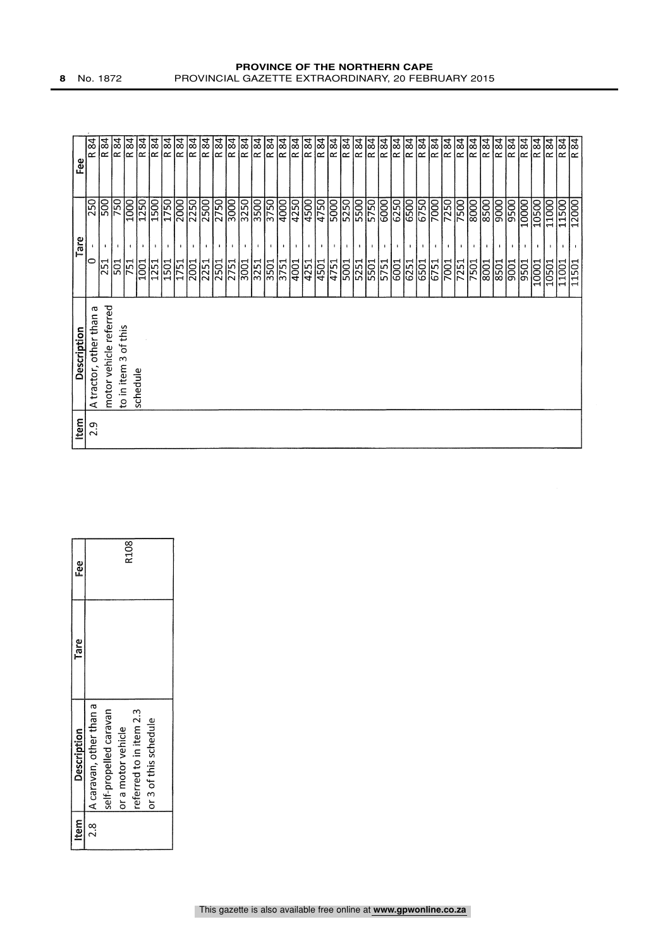| <b>Lee</b> | <b>Item</b> | <b>Description</b>      | Tare                                          | Fee               |
|------------|-------------|-------------------------|-----------------------------------------------|-------------------|
|            | 2.9         | A tractor, other than a | $\overline{50}$<br>$\circ$                    | R 84              |
|            |             | motor vehicle referred  | $\frac{500}{750}$<br>$\mathbf{I}$<br>251      | $\frac{18}{18}$   |
|            |             | to in item 3 of this    | $\overline{501}$                              |                   |
| R108       |             |                         | 1000<br>$\mathfrak{t}$<br>$\overline{751}$    | R84               |
|            |             | schedule                | 1250<br>$\pmb{\cdot}$<br>1001                 | $\overline{88}$   |
|            |             |                         | 1500<br>1750<br>$\frac{1251}{1501}$           | $\overline{R84}$  |
|            |             |                         | $\,$                                          | R 84              |
|            |             |                         | 1751                                          | $\overline{R84}$  |
|            |             |                         | $\frac{1001}{2001}$                           | $\overline{R84}$  |
|            |             |                         | $\pmb{\cdot}$<br>2251                         | R 84              |
|            |             |                         | <b>2501</b>                                   | $\overline{R84}$  |
|            |             |                         | 3000<br>$\pmb{\cdot}$<br>2751                 | R 84              |
|            |             |                         | $\pmb{\mathsf{I}}$<br>$\frac{3001}{3251}$     | R84               |
|            |             |                         | 3250<br>$\mathbf{r}$                          | $\overline{84}$   |
|            |             |                         | 3750<br>$\frac{3501}{2501}$                   | $\overline{R84}$  |
|            |             |                         | 000t<br>$\pmb{\imath}$<br>$\frac{3751}{4001}$ | R 84              |
|            |             |                         | 4250<br>$\mathbf{I}$                          | $\sqrt{84}$       |
|            |             |                         | 4251                                          | $\sqrt{84}$       |
|            |             |                         | $\frac{4500}{4750}$<br>$\pmb{\cdot}$<br>4501  | $\sqrt{84}$       |
|            |             |                         | $\frac{4751}{5001}$                           | $\overline{84}$   |
|            |             |                         |                                               | $\overline{R84}$  |
|            |             |                         | ٠<br>5251                                     | $\overline{84}$   |
|            |             |                         | 5501                                          | $\sqrt{84}$       |
|            |             |                         | $\frac{6000}{ }$<br>5751                      | R 84              |
|            |             |                         | 6250<br>$\mathbf I$<br>$\overline{5001}$      | $\sqrt{84}$       |
|            |             |                         | $rac{6500}{6750}$<br>$\frac{6251}{6501}$      | $\overline{R84}$  |
|            |             |                         | $\mathbf{I}$                                  | R 84              |
|            |             |                         | 7000<br>6751                                  | $\sqrt{84}$       |
|            |             |                         | 7250<br>$\frac{1}{2}$                         | $\sqrt{84}$       |
|            |             |                         | $\mathbf{I}$<br>$\overline{7251}$             | $\overline{R84}$  |
|            |             |                         | 8000<br>7501                                  | $\overline{84}$   |
|            |             |                         | 8500<br>$\pmb{\mathsf{I}}$<br>8001            | R 84              |
|            |             |                         | 9000<br>8501                                  | $\overline{84}$   |
|            |             |                         | 9500<br>9001                                  | $\overline{R84}$  |
|            |             |                         | 10000<br>$\frac{9501}{ }$                     | $\overline{R84}$  |
|            |             |                         | 10500<br>10001                                | $\overline{84}$   |
|            |             |                         | 11000<br>$\blacksquare$<br>10501              | $\overline{R84}$  |
|            |             |                         | 11500<br>$\blacksquare$<br>11001              | $\frac{R84}{R84}$ |
|            |             |                         | 12000<br>$\blacksquare$<br>11501              |                   |

| ree<br>E<br>Fare |                               |                        | R108               |                         |                       |  |
|------------------|-------------------------------|------------------------|--------------------|-------------------------|-----------------------|--|
| Description      | 2.8   A caravan, other than a | self-propelled caravan | or a motor vehicle | referred to in item 2.3 | or 3 of this schedule |  |
| <b>Item</b>      |                               |                        |                    |                         |                       |  |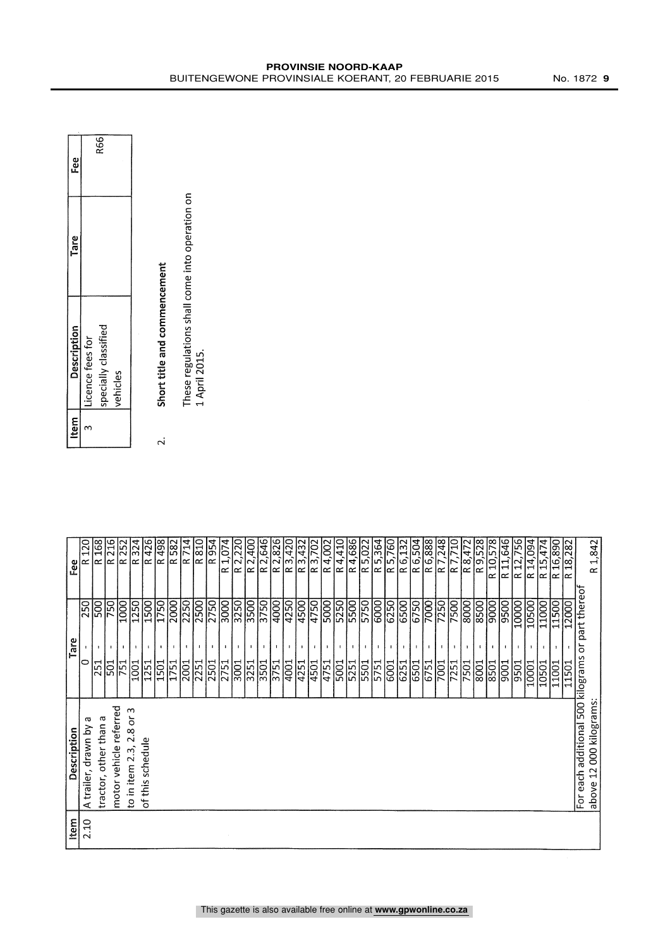| Fee                        |                       |                       |       |                        |                          |                   |                              |                 |                                                |               |                       |                      |         |         |                      |                      |                   |                   |                        |        |                              |         |         |                |                    |     |                   |        |         |                              |                                                          |                                             |                                                |           |                     |                                |                                                   |                         |  |
|----------------------------|-----------------------|-----------------------|-------|------------------------|--------------------------|-------------------|------------------------------|-----------------|------------------------------------------------|---------------|-----------------------|----------------------|---------|---------|----------------------|----------------------|-------------------|-------------------|------------------------|--------|------------------------------|---------|---------|----------------|--------------------|-----|-------------------|--------|---------|------------------------------|----------------------------------------------------------|---------------------------------------------|------------------------------------------------|-----------|---------------------|--------------------------------|---------------------------------------------------|-------------------------|--|
| Tare                       |                       |                       |       |                        |                          |                   |                              |                 |                                                |               |                       |                      |         |         |                      |                      |                   |                   |                        |        |                              |         |         |                |                    |     |                   |        |         |                              |                                                          |                                             |                                                |           |                     |                                |                                                   |                         |  |
| Description                | Licence fees for      | specially classified  |       | vehicles               |                          |                   | Short title and commencement |                 | These regulations shall come into operation on | 1 April 2015. |                       |                      |         |         |                      |                      |                   |                   |                        |        |                              |         |         |                |                    |     |                   |        |         |                              |                                                          |                                             |                                                |           |                     |                                |                                                   |                         |  |
| Item                       | $\sim$                |                       |       |                        |                          |                   | $\overline{\mathbf{r}}$      |                 |                                                |               |                       |                      |         |         |                      |                      |                   |                   |                        |        |                              |         |         |                |                    |     |                   |        |         |                              |                                                          |                                             |                                                |           |                     |                                |                                                   |                         |  |
|                            |                       |                       |       |                        |                          |                   |                              |                 |                                                |               |                       |                      |         |         |                      |                      |                   |                   |                        |        |                              |         |         |                |                    |     |                   |        |         |                              |                                                          |                                             |                                                |           |                     |                                |                                                   |                         |  |
| Fee                        | R <sub>120</sub>      | R 168                 | R 216 | R 252                  | $R$ 324                  | R 426             | R498                         | R 582           | R 714                                          | R 810         | R954                  | R 1,074              | R 2,220 | R 2,400 | R 2,646              | R 2,826              | R 3,420<br>R3,432 | 3,702<br>$\simeq$ | R 4,002                | R4,410 | R4,686<br>R 5,022            | R 5,364 | R 5,760 | R 6,132        | R 6,504<br>R 6,888 |     | R7,248            | R7,710 | R 8,472 | R9,528                       | R <sub>10,578</sub><br>R 11,646                          | R 12,756                                    | R 14,094                                       | R 15,474  | R <sub>16,890</sub> | 18,282<br>$\propto$            |                                                   | R <sub>1,842</sub>      |  |
|                            | 250                   | $\frac{500}{750}$     |       | 1000                   | 1250                     | $\overline{1500}$ | 1750                         | 2000            | 2250<br>$\mathbf{I}$                           | 2500          | 2750                  | 3000                 | 3250    |         | 3750<br>$\mathbf{I}$ | 4000                 | 4250<br>4500      | 4750              | 2000                   | 5250   | 5500<br>5750<br>$\mathbf{I}$ | 6000    | 6250    | 6500           | 6750<br>7000       |     | 7250              | 7500   | 8000    | 8500<br>$\pmb{\mathfrak{c}}$ | 9000<br>9500<br>$\mathbf I$<br>$\mathbf{I}$              | 10000                                       | 10500                                          | 11000     | 11500               | 12000                          |                                                   |                         |  |
| $\overline{\mathsf{Tare}}$ | $\circ$               | $\frac{5}{25}$        |       | $\overline{5}$         | 100                      |                   | $\frac{125}{150}$            | $\frac{175}{2}$ | $\frac{1}{200}$                                |               | ٣<br>$\frac{25}{250}$ | ↤<br>$\frac{275}{5}$ |         | ٣       | ⊣                    | ٣<br>$\frac{1}{200}$ | ٣                 | 450               | ↤<br>$\frac{475}{500}$ | ᆏ      | $\frac{525}{550}$            | 575     |         | $\frac{60}{6}$ | 650                | 675 | $\frac{100}{750}$ |        | ↤       | $\frac{8}{1}$                | H<br>$\overline{\phantom{0}}$<br>$\frac{80}{10}$<br>န္တြ | $\overline{\phantom{0}}$<br>$\frac{950}{ }$ | $\mathbf{\overline{u}}$<br>$\frac{0001}{2000}$ | ᆏ<br>1050 | ٣<br>1100           | $\mathrel{\mathsf{H}}$<br>1150 |                                                   |                         |  |
| <b>Description</b>         | A trailer, drawn by a | tractor, other than a |       | motor vehicle referred | to in item 2.3, 2.8 or 3 | of this schedule  |                              |                 |                                                |               |                       |                      |         |         |                      |                      |                   |                   |                        |        |                              |         |         |                |                    |     |                   |        |         |                              |                                                          |                                             |                                                |           |                     |                                | For each additional 500 kilograms or part thereof | above 12 000 kilograms: |  |

| ltem | Description                                          | Tare | Fee |
|------|------------------------------------------------------|------|-----|
|      | specially classified<br>Licence fees for<br>vehicles |      | R66 |
| N    | Short title and commencement                         |      |     |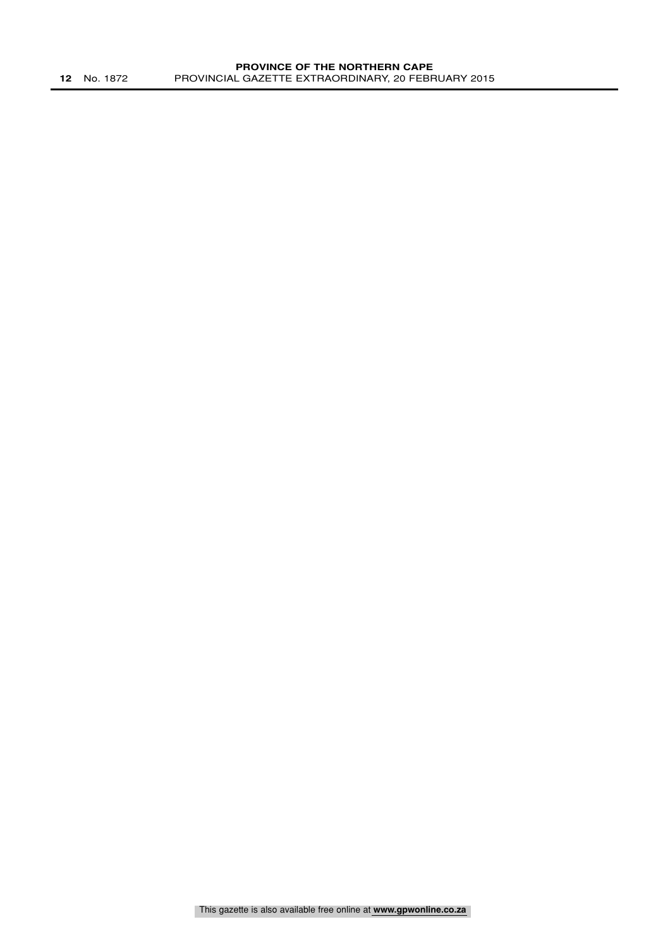This gazette is also available free online at **www.gpwonline.co.za**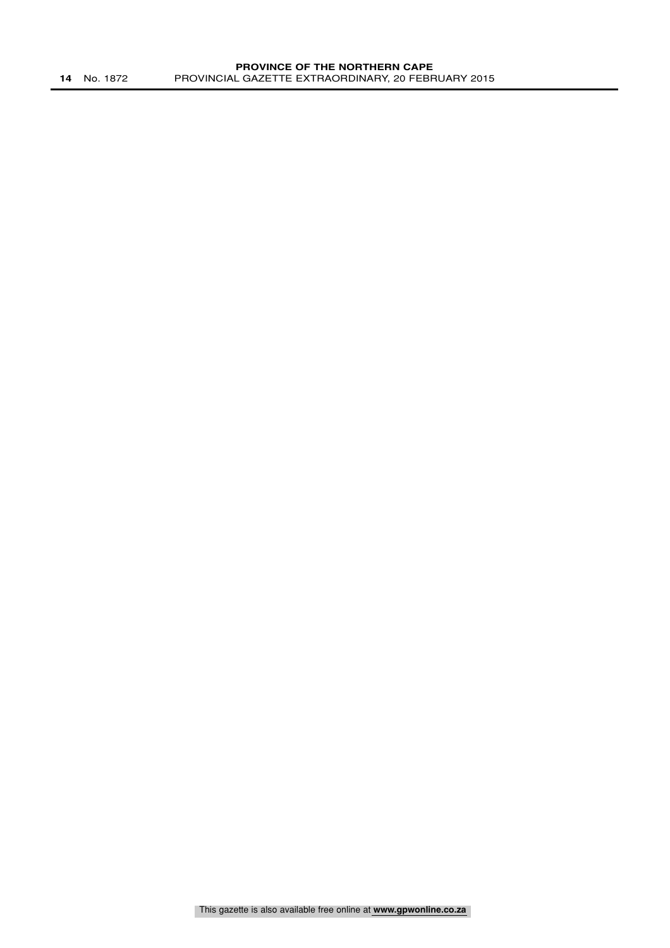This gazette is also available free online at **www.gpwonline.co.za**